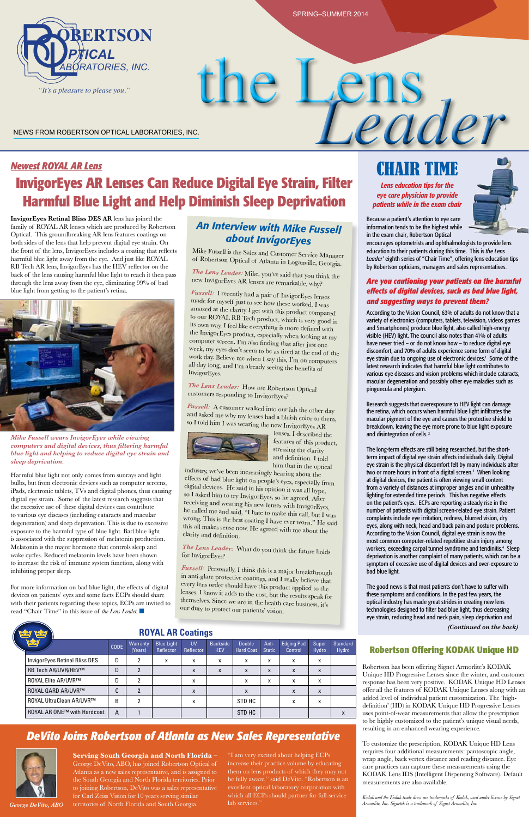*(Continued on the back)*



#### *Newest ROYAL AR Lens*

# **InvigorEyes AR Lenses Can Reduce Digital Eye Strain, Filter Harmful Blue Light and Help Diminish Sleep Deprivation**

Harmful blue light not only comes from sunrays and light bulbs, but from electronic devices such as computer screens, **From Robertson Optical** iPads, electronic tablets, TVs and digital phones, thus causing digital eye strain. Some of the latest research suggests that the excessive use of these digital devices can contribute **Reserving and wealing** ins to various eye diseases (including cataracts and macular **ROYAL ELITE ARGYAL ELITE ARGY** 1 degeneration) and sleep deprivation. This is due to excessive this all mediators of the co exposure to the harmful type of blue light. Bad blue light clarity and definition is associated with the suppression of melatonin production. Melatonin is the major hormone that controls sleep and **The Lens Leader**: What do vou the wake cycles. Reduced melatonin levels have been shown to increase the risk of immune system function, along with inhibiting proper sleep. **Pussell:** Personally, I think this is a major breakthrough in anti-clare are  $\mu$  in the clare are  $\mu$  is a major breakthrough

For more information on bad blue light, the effects of digital strategy lens order should ha devices on patients' eyes and some facts ECPs should share **CARAGE ACCISE** 2 Know it adds to the

**InvigorEyes Retinal Bliss DES AR** lens has joined the family of ROYAL AR lenses which are produced by Robertson Optical. This groundbreaking AR lens features coatings on both sides of the lens that help prevent digital eye strain. On the front of the lens, InvigorEyes includes a coating that reflects harmful blue light away from the eye. And just like ROYAL RB Tech AR lens, InvigorEyes has the HEV reflector on the back of the lens causing harmful blue light to reach it then pass through the lens away from the eye, eliminating 99% of bad blue light from getting to the patient's retina.



# the Lens NEWS FROM ROBERTSON OPTICAL LABORATORIES, INC.

Research suggests that overexposure to HEV light can damage the retina, which occurs when harmful blue light infiltrates the macular pigment of the eye and causes the protective shield to breakdown, leaving the eye more prone to blue light exposure and disintegration of cells.<sup>2</sup>

# CHAIR TIME

*Lens education tips for the eye care physician to provide patients while in the exam chair*



Because a patient's attention to eye care information tends to be the highest while in the exam chair, Robertson Optical

encourages optometrists and ophthalmologists to provide lens education to their patients during this time. This is *the Lens Leader*' eighth series of "Chair Time", offering lens education tips by Robertson opticians, managers and sales representatives.

#### *Are you cautioning your patients on the harmful effects of digital devices, such as bad blue light, and suggesting ways to prevent them?*

According to the Vision Council, 63% of adults do not know that a variety of electronics (computers, tablets, television, videos games and Smartphones) produce blue light, also called high-energy visible (HEV) light. The council also notes than 41% of adults have never tried – or do not know how – to reduce digital eye discomfort, and 70% of adults experience some form of digital eye strain due to ongoing use of electronic devices.<sup>1</sup> Some of the latest research indicates that harmful blue light contributes to various eye diseases and vision problems which include cataracts, macular degeneration and possibly other eye maladies such as pinguecula and ptergium.

#### **ROYAL AR Coatings New** *ROYAL AR* **coatings from Robertson Optical feature UV Reflectors, HEV filters, easy to clean**

**Serving South Georgia and North Florida –**  George DeVito, ABO, has joined Robertson Optical of Atlanta as a new sales representative, and is assigned to the South Georgia and North Florida territories. Prior to joining Robertson, DeVito was a sales representative for Carl Zeiss Vision for 10 years serving similar George DeVito, ABO territories of North Florida and South Georgia. 
lab services." The long-term effects are still being researched, but the shortterm impact of digital eye strain affects individuals daily. Digital eye strain is the physical discomfort felt by many individuals after two or more hours in front of a digital screen.<sup>3</sup> When looking at digital devices, the patient is often viewing small content from a variety of distances at improper angles and in unhealthy lighting for extended time periods. This has negative effects on the patient's eyes. ECPs are reporting a steady rise in the number of patients with digital screen-related eye strain. Patient complaints include eye irritation, redness, blurred vision, dry eyes, along with neck, head and back pain and posture problems. According to the Vision Council, digital eye strain is now the most common computer-related repetitive strain injury among workers, exceeding carpal tunnel syndrome and tendinitis.<sup>4</sup> Sleep deprivation is another complaint of many patients, which can be a symptom of excessive use of digital devices and over-exposure to bad blue light.

The good news is that most patients don't have to suffer with these symptoms and conditions. In the past few years, the optical industry has made great strides in creating new lens technologies designed to filter bad blue light, thus decreasing eye strain, reducing head and neck pain, sleep deprivation and

with their patients regarding these topics, ECPs are invited to **Caracter Carat Arms** vectors are in the heal read "Chair Time" in this issue of *the Lens Leader.* n ead "Chair Time" in this issue of the Lens Leader. ■ **OUL** Our duty to protect our patients' vision.



so I asked him to try InvigorEyes, so he agreed. After digital devices. He said in his opinion it was all hype, industry, we've been increasingly hearing about the effects of bad blue light on people's eyes, especially from receiving and wearing his new lenses with InvigorEyes, he called me and said, "I hate to make this call, but I was wrong. This is the best coating I have ever worn." He said this all makes sense now. He agreed with me about the clarity and definition.

*The Lens Leader:* What do you think the future holds for InvigorEyes?

Terms √ <sup>2</sup> <sup>in</sup> anti-glare protective coatings, and I really believe that every lens order should have this product applied to the lenses. I know it adds to the cost, but the results speak for themselves. Since we are in the health care business, it's

*Mike Fussell wears InvigorEyes while viewing computers and digital devices, thus filtering harmful blue light and helping to reduce digital eye strain and sleep deprivation.* **High Performance AR Coatings**

| pdag                                 | <b>CODE</b> | Warranty<br>(Years) | <b>Blue Light</b><br>Reflector | <b>UV</b><br>Reflector | <b>Backside</b><br><b>HEV</b> | <b>Double</b><br><b>Hard Coat</b> | Anti-<br><b>Static</b> | <b>Edging Pad</b><br>Control | Super<br>Hydro | <b>Standard</b><br>Hydro |  |
|--------------------------------------|-------------|---------------------|--------------------------------|------------------------|-------------------------------|-----------------------------------|------------------------|------------------------------|----------------|--------------------------|--|
| <b>InvigorEyes Retinal Bliss DES</b> | D           |                     | X                              | x                      | x                             | x                                 | x                      | x                            | x              |                          |  |
| <b>RB Tech AR/UVR/HEV™</b>           | D           |                     |                                | X                      | X                             | X                                 | X                      | X                            | X              |                          |  |
| <b>ROYAL Elite AR/UVR™</b>           | D           |                     |                                | x                      |                               | x                                 | x                      | x                            | x              |                          |  |
| ROYAL GARD AR/UVR™                   | С           |                     |                                | X                      |                               | X                                 |                        | X                            | X              |                          |  |
| ROYAL UltraClean AR/UVR™             | B           | າ                   |                                | x                      |                               | STD HC                            |                        | X                            | x              |                          |  |
| ROYAL AR ONE™ with Hardcoat          | A           |                     |                                |                        |                               | STD HC                            |                        |                              |                | X                        |  |

# *DeVito Joins Robertson of Atlanta as New Sales Representative*



"I am very excited about helping ECPs increase their practice volume by educating them on lens products of which they may not be fully aware," said DeVito. "Robertson is an excellent optical laboratory corporation with which all ECPs should partner for full-service

#### **Robertson Offering KODAK Unique HD**

Robertson has been offering Signet Armorlite's KODAK Unique HD Progressive Lenses since the winter, and customer response has been very positive. KODAK Unique HD Lenses offer all the features of KODAK Unique Lenses along with an added level of individual patient customization. The 'highdefinition' (HD) in KODAK Unique HD Progressive Lenses uses point-of-wear measurements that allow the prescription to be highly customized to the patient's unique visual needs, resulting in an enhanced wearing experience.

To customize the prescription, KODAK Unique HD Lens requires four additional measurements: pantoscopic angle, wrap angle, back vertex distance and reading distance. Eye care practices can capture these measurements using the KODAK Lens IDS (Intelligent Dispensing Software). Default measurements are also available.

*Kodak and the Kodak trade dress are trademarks of Kodak, used under license by Signet Armorlite, Inc. Signetek is a trademark of Signet Armorlite, Inc.* 

## *An Interview with Mike Fussell about InvigorEyes*

Mike Fussell is the Sales and Customer Service Manager of Robertson Optical of Atlanta in Loganville, Georgia.

*The Lens Leader:* Mike, you've said that you think the new InvigorEyes AR lenses are remarkable, why?

*Fussell:* I recently had a pair of InvigorEyes lenses made for myself just to see how these worked. I was amazed at the clarity I get with this product compared to our ROYAL RB Tech product, which is very good in its own way. I feel like everything is more defined with the InvigorEyes product, especially when looking at my computer screen. I'm also finding that after just one week, my eyes don't seem to be as tired at the end of the work day. Believe me when I say this, I'm on computers all day long, and I'm already seeing the benefits of InvigorEyes.

*The Lens Leader:* How are Robertson Optical customers responding to InvigorEyes?

*Fussell:* A customer walked into our lab the other day and asked me why my lenses had a bluish color to them, so I told him I was wearing the new InvigorEyes AR



lenses. I described the features of this product, stressing the clarity and definition. I told him that in the optical